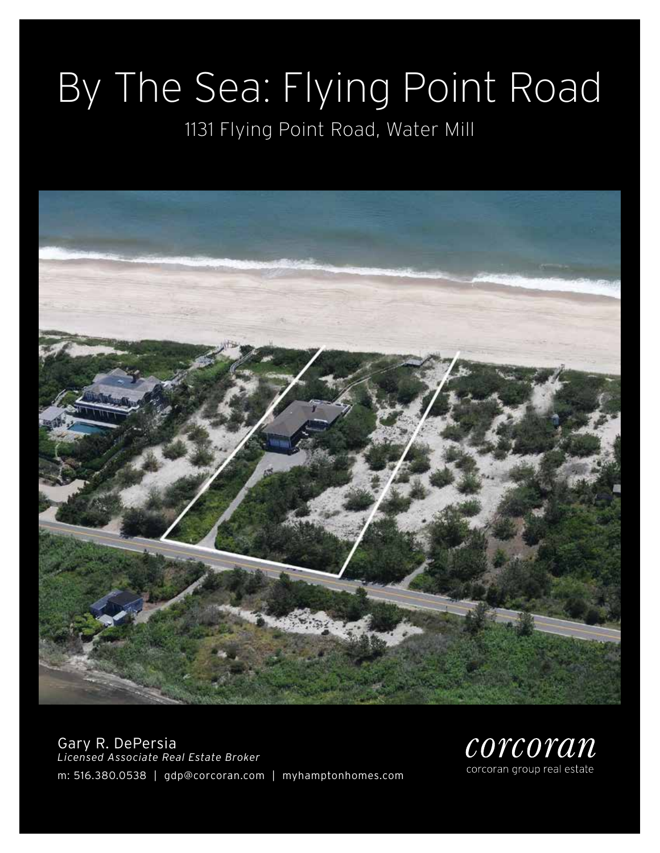# By The Sea: Flying Point Road

### 1131 Flying Point Road, Water Mill



Gary R. DePersia *Licensed Associate Real Estate Broker* m: 516.380.0538 | gdp@corcoran.com | myhamptonhomes.com

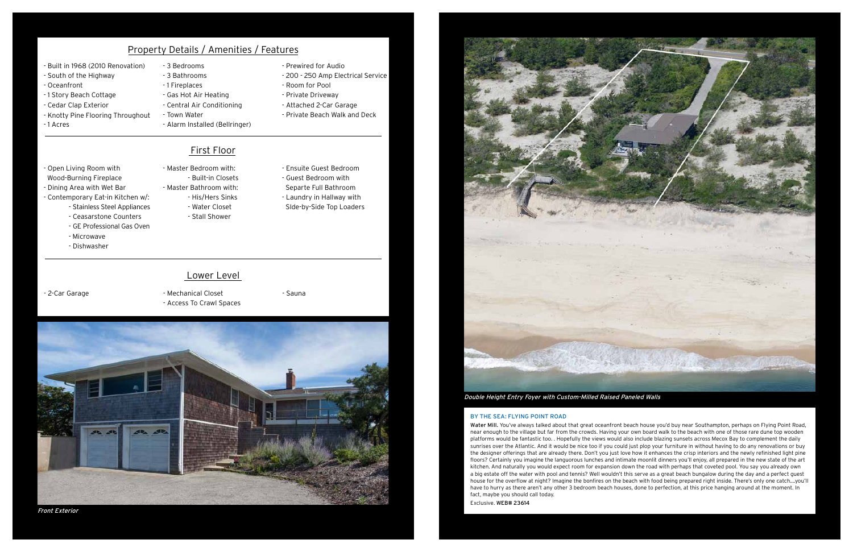#### BY THE SEA: FLYING POINT ROAD

Water Mill. You've always talked about that great oceanfront beach house you'd buy near Southampton, perhaps on Flying Point Road, near enough to the village but far from the crowds. Having your own board walk to the beach with one of those rare dune top wooden platforms would be fantastic too. . Hopefully the views would also include blazing sunsets across Mecox Bay to complement the daily sunrises over the Atlantic. And it would be nice too if you could just plop your furniture in without having to do any renovations or buy the designer offerings that are already there. Don't you just love how it enhances the crisp interiors and the newly refinished light pine floors? Certainly you imagine the languorous lunches and intimate moonlit dinners you'll enjoy, all prepared in the new state of the art kitchen. And naturally you would expect room for expansion down the road with perhaps that coveted pool. You say you already own a big estate off the water with pool and tennis? Well wouldn't this serve as a great beach bungalow during the day and a perfect guest house for the overflow at night? Imagine the bonfires on the beach with food being prepared right inside. There's only one catch....you'll have to hurry as there aren't any other 3 bedroom beach houses, done to perfection, at this price hanging around at the moment. In fact, maybe you should call today. Exclusive. WEB# 23614

- 2-Car Garage Mechanical Closet - Access To Crawl Spaces
- Sauna



### Property Details / Amenities / Features

#### First Floor

#### Lower Level

#### Double Height Entry Foyer with Custom-Milled Raised Paneled Walls

- Built in 1968 (2010 Renovation)
- South of the Highway
- Oceanfront
- 1 Story Beach Cottage
- Cedar Clap Exterior
- Knotty Pine Flooring Throughout

- 1 Acres

- 3 Bedrooms - 3 Bathrooms
- 1 Fireplaces
- Gas Hot Air Heating
- Central Air Conditioning
- Town Water
- Alarm Installed (Bellringer)
- Prewired for Audio
- 200 250 Amp Electrical Service
- Room for Pool
- Private Driveway
- Attached 2-Car Garage
- Private Beach Walk and Deck

- Open Living Room with Wood-Burning Fireplace - Dining Area with Wet Bar

- Contemporary Eat-in Kitchen w/:

- Stainless Steel Appliances - Ceasarstone Counters

- Microwave

- Master Bedroom with:
- 
- 
- Water Closet
- 
- GE Professional Gas Oven

- Dishwasher

- Built-in Closets - Master Bathroom with:
	- His/Hers Sinks
	- Stall Shower
- Ensuite Guest Bedroom
- Guest Bedroom with Separte Full Bathroom
- Laundry in Hallway with
- SIde-by-Side Top Loaders

Front Exterior

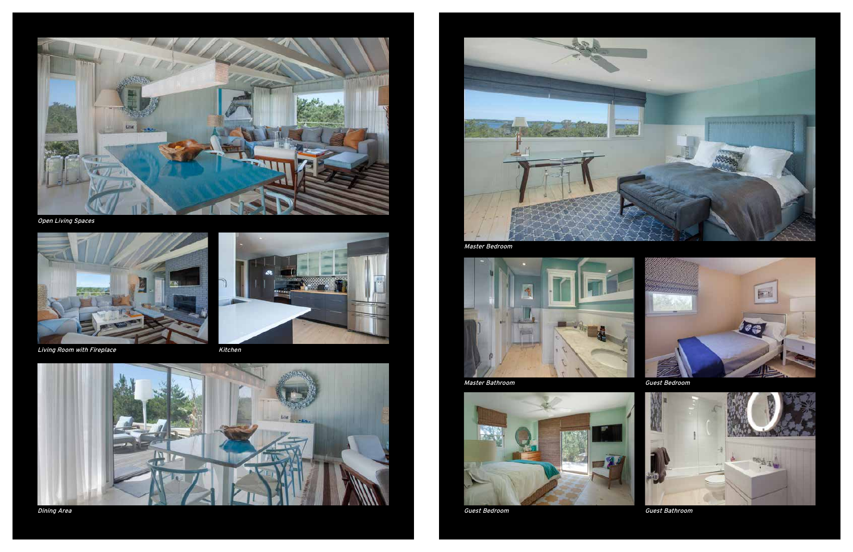

Open Living Spaces













Master Bathroom



Guest Bedroom



Guest Bedroom



Guest Bathroom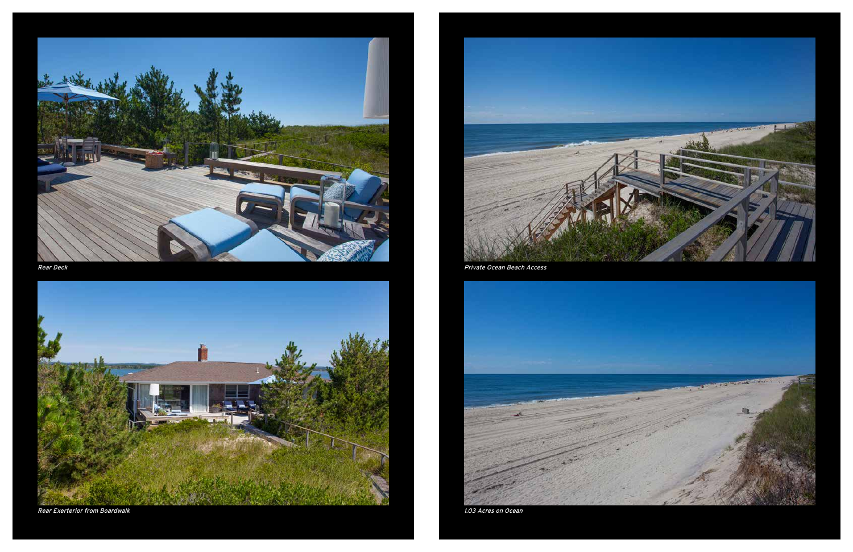